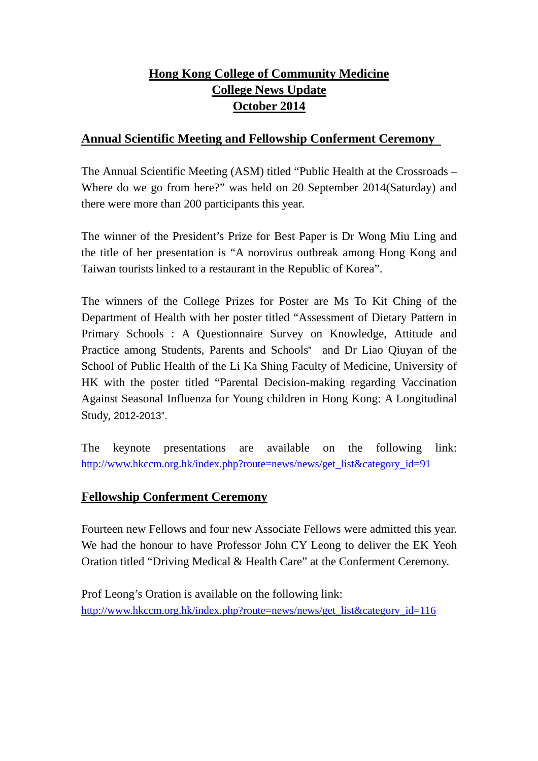# **Hong Kong College of Community Medicine College News Update October 2014**

### **Annual Scientific Meeting and Fellowship Conferment Ceremony**

The Annual Scientific Meeting (ASM) titled "Public Health at the Crossroads – Where do we go from here?" was held on 20 September 2014(Saturday) and there were more than 200 participants this year.

The winner of the President's Prize for Best Paper is Dr Wong Miu Ling and the title of her presentation is "A norovirus outbreak among Hong Kong and Taiwan tourists linked to a restaurant in the Republic of Korea".

The winners of the College Prizes for Poster are Ms To Kit Ching of the Department of Health with her poster titled "Assessment of Dietary Pattern in Primary Schools : A Questionnaire Survey on Knowledge, Attitude and Practice among Students, Parents and Schools" and Dr Liao Qiuyan of the School of Public Health of the Li Ka Shing Faculty of Medicine, University of HK with the poster titled "Parental Decision-making regarding Vaccination Against Seasonal Influenza for Young children in Hong Kong: A Longitudinal Study, 2012-2013".

The keynote presentations are available on the following link: http://www.hkccm.org.hk/index.php?route=news/news/get\_list&category\_id=91

### **Fellowship Conferment Ceremony**

Fourteen new Fellows and four new Associate Fellows were admitted this year. We had the honour to have Professor John CY Leong to deliver the EK Yeoh Oration titled "Driving Medical & Health Care" at the Conferment Ceremony.

Prof Leong's Oration is available on the following link: http://www.hkccm.org.hk/index.php?route=news/news/get\_list&category\_id=116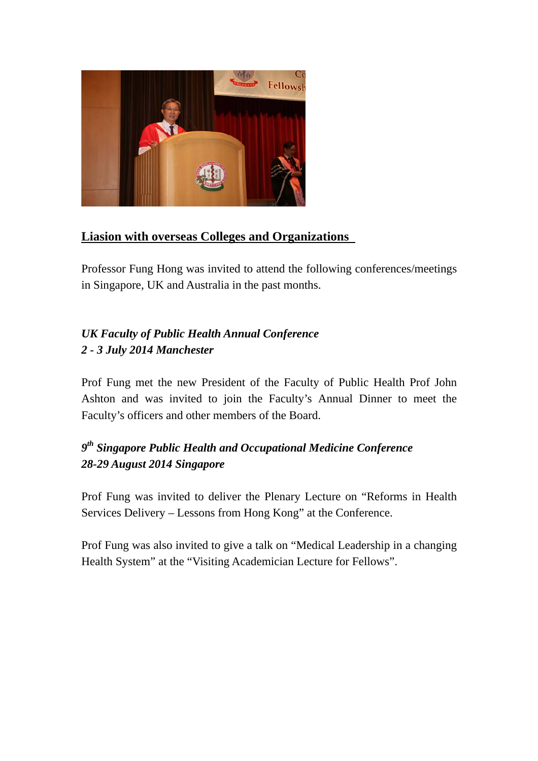

## **Liasion with overseas Colleges and Organizations**

Professor Fung Hong was invited to attend the following conferences/meetings in Singapore, UK and Australia in the past months.

# *UK Faculty of Public Health Annual Conference 2 - 3 July 2014 Manchester*

Prof Fung met the new President of the Faculty of Public Health Prof John Ashton and was invited to join the Faculty's Annual Dinner to meet the Faculty's officers and other members of the Board.

# *9th Singapore Public Health and Occupational Medicine Conference 28-29 August 2014 Singapore*

Prof Fung was invited to deliver the Plenary Lecture on "Reforms in Health Services Delivery – Lessons from Hong Kong" at the Conference.

Prof Fung was also invited to give a talk on "Medical Leadership in a changing Health System" at the "Visiting Academician Lecture for Fellows".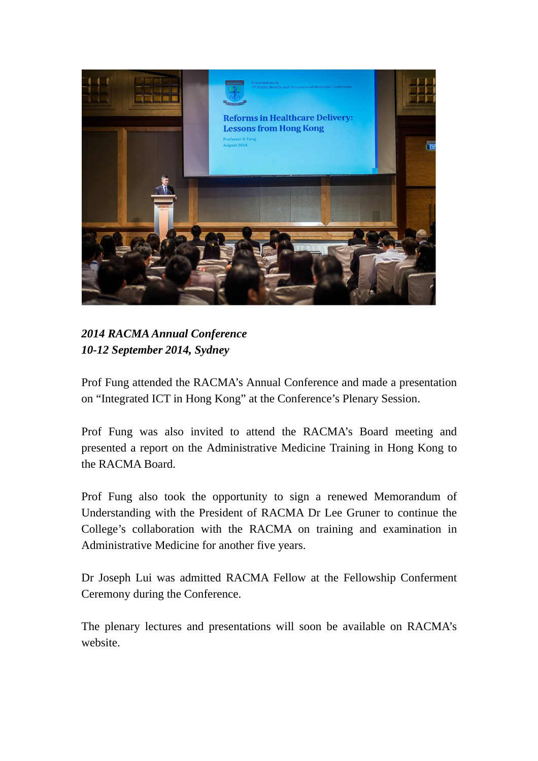

*2014 RACMA Annual Conference 10-12 September 2014, Sydney* 

Prof Fung attended the RACMA's Annual Conference and made a presentation on "Integrated ICT in Hong Kong" at the Conference's Plenary Session.

Prof Fung was also invited to attend the RACMA's Board meeting and presented a report on the Administrative Medicine Training in Hong Kong to the RACMA Board.

Prof Fung also took the opportunity to sign a renewed Memorandum of Understanding with the President of RACMA Dr Lee Gruner to continue the College's collaboration with the RACMA on training and examination in Administrative Medicine for another five years.

Dr Joseph Lui was admitted RACMA Fellow at the Fellowship Conferment Ceremony during the Conference.

The plenary lectures and presentations will soon be available on RACMA's website.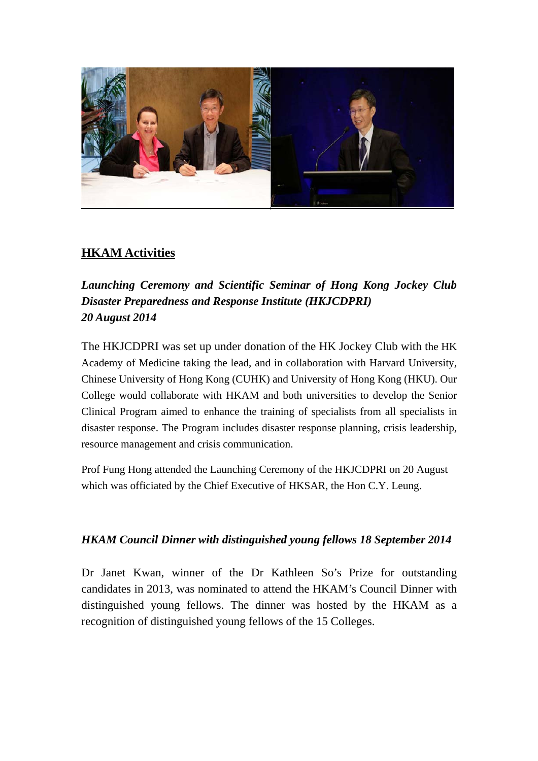

# **HKAM Activities**

# *Launching Ceremony and Scientific Seminar of Hong Kong Jockey Club Disaster Preparedness and Response Institute (HKJCDPRI) 20 August 2014*

The HKJCDPRI was set up under donation of the HK Jockey Club with the HK Academy of Medicine taking the lead, and in collaboration with Harvard University, Chinese University of Hong Kong (CUHK) and University of Hong Kong (HKU). Our College would collaborate with HKAM and both universities to develop the Senior Clinical Program aimed to enhance the training of specialists from all specialists in disaster response. The Program includes disaster response planning, crisis leadership, resource management and crisis communication.

Prof Fung Hong attended the Launching Ceremony of the HKJCDPRI on 20 August which was officiated by the Chief Executive of HKSAR, the Hon C.Y. Leung.

### *HKAM Council Dinner with distinguished young fellows 18 September 2014*

Dr Janet Kwan, winner of the Dr Kathleen So's Prize for outstanding candidates in 2013, was nominated to attend the HKAM's Council Dinner with distinguished young fellows. The dinner was hosted by the HKAM as a recognition of distinguished young fellows of the 15 Colleges.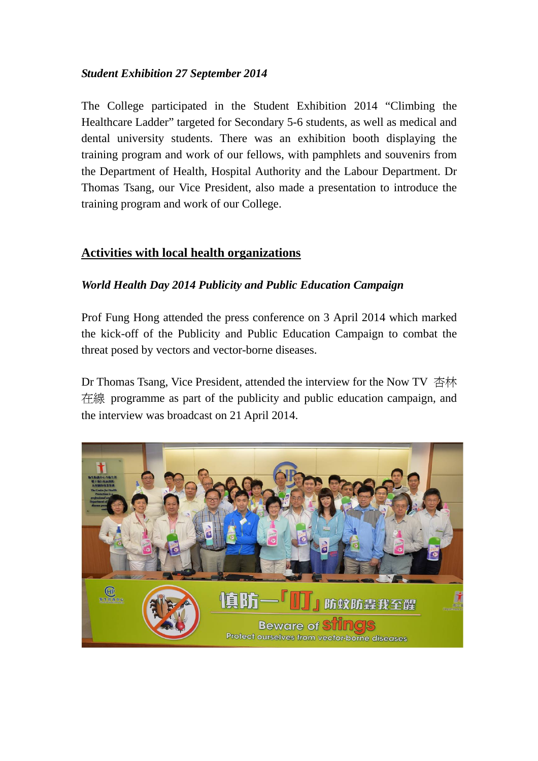#### *Student Exhibition 27 September 2014*

The College participated in the Student Exhibition 2014 "Climbing the Healthcare Ladder" targeted for Secondary 5-6 students, as well as medical and dental university students. There was an exhibition booth displaying the training program and work of our fellows, with pamphlets and souvenirs from the Department of Health, Hospital Authority and the Labour Department. Dr Thomas Tsang, our Vice President, also made a presentation to introduce the training program and work of our College.

#### **Activities with local health organizations**

#### *World Health Day 2014 Publicity and Public Education Campaign*

Prof Fung Hong attended the press conference on 3 April 2014 which marked the kick-off of the Publicity and Public Education Campaign to combat the threat posed by vectors and vector-borne diseases.

Dr Thomas Tsang, Vice President, attended the interview for the Now TV 杏林 在線 programme as part of the publicity and public education campaign, and the interview was broadcast on 21 April 2014.

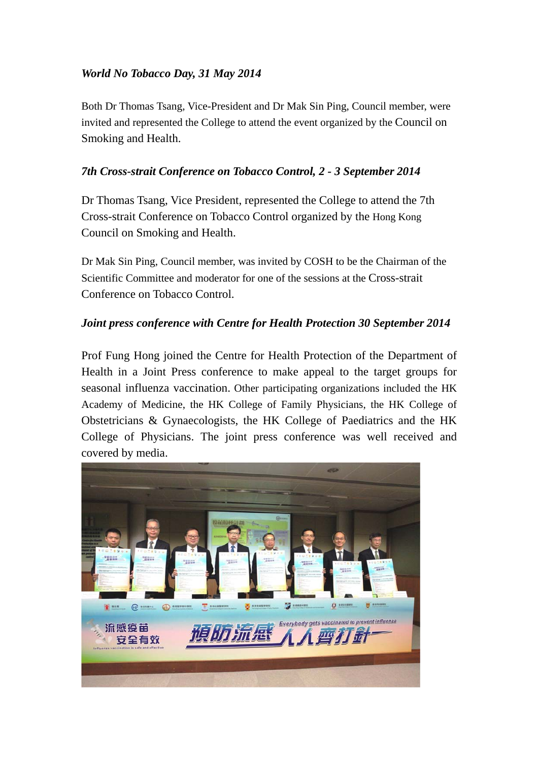#### *World No Tobacco Day, 31 May 2014*

Both Dr Thomas Tsang, Vice-President and Dr Mak Sin Ping, Council member, were invited and represented the College to attend the event organized by the Council on Smoking and Health.

#### *7th Cross-strait Conference on Tobacco Control, 2 - 3 September 2014*

Dr Thomas Tsang, Vice President, represented the College to attend the 7th Cross-strait Conference on Tobacco Control organized by the Hong Kong Council on Smoking and Health.

Dr Mak Sin Ping, Council member, was invited by COSH to be the Chairman of the Scientific Committee and moderator for one of the sessions at the Cross-strait Conference on Tobacco Control.

#### *Joint press conference with Centre for Health Protection 30 September 2014*

Prof Fung Hong joined the Centre for Health Protection of the Department of Health in a Joint Press conference to make appeal to the target groups for seasonal influenza vaccination. Other participating organizations included the HK Academy of Medicine, the HK College of Family Physicians, the HK College of Obstetricians & Gynaecologists, the HK College of Paediatrics and the HK College of Physicians. The joint press conference was well received and covered by media.

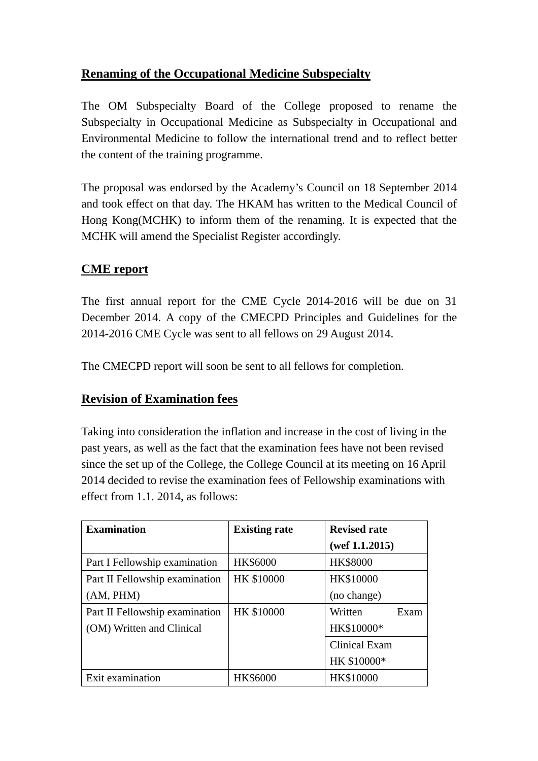## **Renaming of the Occupational Medicine Subspecialty**

The OM Subspecialty Board of the College proposed to rename the Subspecialty in Occupational Medicine as Subspecialty in Occupational and Environmental Medicine to follow the international trend and to reflect better the content of the training programme.

The proposal was endorsed by the Academy's Council on 18 September 2014 and took effect on that day. The HKAM has written to the Medical Council of Hong Kong(MCHK) to inform them of the renaming. It is expected that the MCHK will amend the Specialist Register accordingly.

### **CME report**

The first annual report for the CME Cycle 2014-2016 will be due on 31 December 2014. A copy of the CMECPD Principles and Guidelines for the 2014-2016 CME Cycle was sent to all fellows on 29 August 2014.

The CMECPD report will soon be sent to all fellows for completion.

### **Revision of Examination fees**

Taking into consideration the inflation and increase in the cost of living in the past years, as well as the fact that the examination fees have not been revised since the set up of the College, the College Council at its meeting on 16 April 2014 decided to revise the examination fees of Fellowship examinations with effect from 1.1. 2014, as follows:

| <b>Examination</b>             | <b>Existing rate</b> | <b>Revised rate</b>  |
|--------------------------------|----------------------|----------------------|
|                                |                      | (wef $1.1.2015$ )    |
| Part I Fellowship examination  | HK\$6000             | <b>HK\$8000</b>      |
| Part II Fellowship examination | HK \$10000           | HK\$10000            |
| (AM, PHM)                      |                      | (no change)          |
| Part II Fellowship examination | HK \$10000           | Written<br>Exam      |
| (OM) Written and Clinical      |                      | HK\$10000*           |
|                                |                      | <b>Clinical Exam</b> |
|                                |                      | HK \$10000*          |
| Exit examination               | <b>HK\$6000</b>      | <b>HK\$10000</b>     |